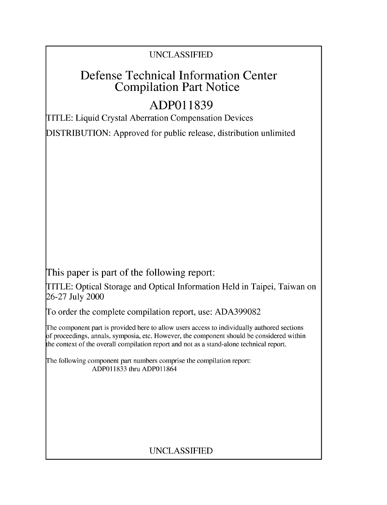### UNCLASSIFIED

## Defense Technical Information Center Compilation Part Notice

# **ADPO1 1839**

TITLE: Liquid Crystal Aberration Compensation Devices

DISTRIBUTION: Approved for public release, distribution unlimited

This paper is part of the following report:

TITLE: Optical Storage and Optical Information Held in Taipei, Taiwan on 26-27 July 2000

To order the complete compilation report, use: ADA399082

The component part is provided here to allow users access to individually authored sections f proceedings, annals, symposia, etc. However, the component should be considered within [he context of the overall compilation report and not as a stand-alone technical report.

The following component part numbers comprise the compilation report: ADP011833 thru ADP011864

## UNCLASSIFIED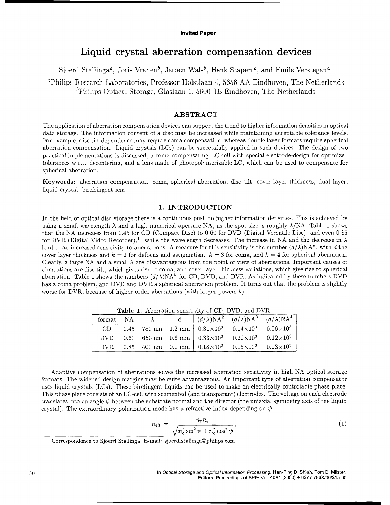#### Invited Paper

### Liquid crystal aberration compensation devices

Sjoerd Stallinga<sup>a</sup>, Joris Vrehen<sup>b</sup>, Jeroen Wals<sup>b</sup>, Henk Stapert<sup>a</sup>, and Emile Verstegen<sup>a</sup>

'Philips Research Laboratories, Professor Holstlaan 4, 5656 AA Eindhoven, The Netherlands <sup>b</sup>Philips Optical Storage, Glaslaan 1, 5600 JB Eindhoven, The Netherlands

#### ABSTRACT

The application of aberration compensation devices can support the trend to higher information densities in optical data storage. The information content of a disc may be increased while maintaining acceptable tolerance levels. For example, disc tilt dependence may require coma compensation, whereas double layer formats require spherical aberration compensation. Liquid crystals (LCs) can be successfully applied in such devices. The design of two practical implementations is discussed; a coma compensating LC-cell with special electrode-design for optimized tolerances w.r.t. decentering, and a lens made of photopolymerizable LC, which can be used to compensate for spherical aberration.

Keywords: aberration compensation, coma, spherical aberration, disc tilt, cover layer thickness, dual layer, liquid crystal, birefringent lens

#### 1. INTRODUCTION

In the field of optical disc storage there is a continuous push to higher information densities. This is achieved by using a small wavelength  $\lambda$  and a high numerical aperture NA, as the spot size is roughly  $\lambda/NA$ . Table 1 shows that the NA increases from 0.45 for CD (Compact Disc) to 0.60 for DVD (Digital Versatile Disc), and even 0.85 for DVR (Digital Video Recorder),<sup>1</sup> while the wavelength decreases. The increase in NA and the decrease in  $\lambda$ lead to an increased sensitivity to aberrations. A measure for this sensitivity is the number  $(d/\lambda)NA^k$ , with d the cover layer thickness and  $k = 2$  for defocus and astigmatism,  $k = 3$  for coma, and  $k = 4$  for spherical aberration. Clearly, a large NA and a small  $\lambda$  are disavantageous from the point of view of aberrations. Important causes of aberrations are disc tilt, which gives rise to coma, and cover layer thickness variations, which give rise to spherical aberration. Table 1 shows the numbers  $(d/\lambda)NA^k$  for CD, DVD, and DVR. As indicated by these numbers DVD has a coma problem, and DVD and DVR a spherical aberration problem. It turns out that the problem is slightly worse for DVR, because of higher order aberrations (with larger powers  $k$ ).

| format   NA | $\lambda$ |  | $(d/\lambda)NA^{2}$ $(d/\lambda)NA^{3}$ $(d/\lambda)NA^{4}$                                 |  |
|-------------|-----------|--|---------------------------------------------------------------------------------------------|--|
| CD          |           |  | 0.45 780 nm $1.2$ mm $\vert$ 0.31×10 <sup>3</sup> 0.14×10 <sup>3</sup> 0.06×10 <sup>3</sup> |  |
|             |           |  | DVD   0.60 650 nm 0.6 mm   $0.33 \times 10^3$ 0.20 $\times 10^3$ 0.12 $\times 10^3$         |  |
|             |           |  | DVR   0.85 400 nm 0.1 mm   $0.18 \times 10^3$ 0.15 $\times 10^3$ 0.13 $\times 10^3$         |  |

Table 1. Aberration sensitivity of CD, DVD, and DVR.

Adaptive compensation of aberrations solves the increased aberration sensitivity in high NA optical storage formats. The widened design margins may be quite advantageous. An important type of aberration compensator uses liquid crystals (LCs). These birefingent liquids can be used to make an electrically controlable phase plate. This phase plate consists of an LC-cell with segmented (and transparant) electrodes. The voltage on each electrode translates into an angle  $\psi$  between the substrate normal and the director (the uniaxial symmetry axis of the liquid crystal). The extraordinary polarization mode has a refractive index depending on  $\psi$ :

$$
n_{\text{eff}} = \frac{n_{\text{o}} n_{\text{e}}}{\sqrt{n_{\text{o}}^2 \sin^2 \psi + n_{\text{e}}^2 \cos^2 \psi}},\tag{1}
$$

Correspondence to Sjoerd Stallinga, E-mail: sjoerd.stallinga@philips.com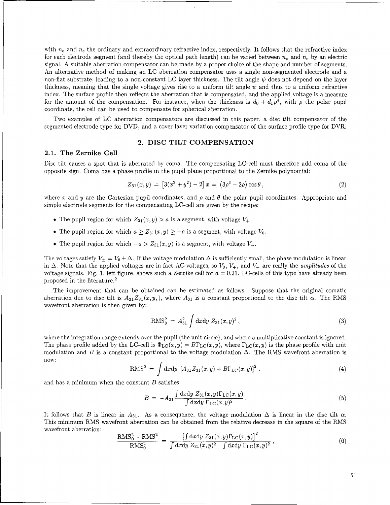with  $n_0$  and  $n_e$  the ordinary and extraordinary refractive index, respectively. It follows that the refractive index for each electrode segment (and thereby the optical path length) can be varied between  $n_0$  and  $n_e$  by an electric signal. A suitable aberration compensator can be made by a proper choice of the shape and number of segments. An alternative method of making an LC aberration compensator uses a single non-segmented electrode and a non-flat substrate, leading to a non-constant LC layer thickness. The tilt angle  $\psi$  does not depend on the layer thickness, meaning that the single voltage gives rise to a uniform tilt angle  $\psi$  and thus to a uniform refractive index. The surface profile then reflects the aberration that is compensated, and the applied voltage is a measure for the amount of the compensation. For instance, when the thickness is  $d_0 + d_1 \rho^4$ , with  $\rho$  the polar pupil coordinate, the cell can be used to compensate for spherical aberration.

Two examples of LC aberration compensators are discussed in this paper, a disc tilt compensator of the segmented electrode type for DVD, and a cover layer variation compensator of the surface profile type for DVR.

#### 2. DISC TILT COMPENSATION

#### 2.1. The Zernike Cell

Disc tilt causes a spot that is aberrated by coma. The compensating LC-cell must therefore add coma of the opposite sign. Coma has a phase profile in the pupil plane proportional to the Zernike polynomial:

$$
Z_{31}(x,y) = [3(x^2 + y^2) - 2] x = (3\rho^3 - 2\rho)\cos\theta, \qquad (2)
$$

where x and y are the Cartesian pupil coordinates, and  $\rho$  and  $\theta$  the polar pupil coordinates. Appropriate and simple electrode segments for the compensating LC-cell are given by the recipe:

- The pupil region for which  $Z_{31}(x, y) > a$  is a segment, with voltage  $V_+$ .
- The pupil region for which  $a \geq Z_{31}(x, y) \geq -a$  is a segment, with voltage  $V_0$ .
- The pupil region for which  $-a > Z_{31}(x, y)$  is a segment, with voltage *V*<sub>-</sub>.

The voltages satisfy  $V_{\pm} = V_0 \pm \Delta$ . If the voltage modulation  $\Delta$  is sufficiently small, the phase modulation is linear in  $\Delta$ . Note that the applied voltages are in fact AC-voltages, so  $V_0$ ,  $V_+$ , and  $V_-$  are really the *amplitudes* of the voltage signals. Fig. 1, left figure, shows such a Zernike cell for  $a = 0.21$ . LC-cells of this type have already been proposed in the literature. <sup>2</sup>

The improvement that can be obtained can be estimated as follows. Suppose that the original comatic aberration due to disc tilt is  $A_{31}Z_{31}(x,y)$ , where  $A_{31}$  is a constant proportional to the disc tilt  $\alpha$ . The RMS wavefront aberration is then given by:

$$
RMS_0^2 = A_{31}^2 \int dxdy Z_{31}(x, y)^2,
$$
\n(3)

where the integration range extends over the pupil (the unit circle), and where a multiplicative constant is ignored. The phase profile added by the LC-cell is  $\Phi_{\text{LC}}(x, y) = B\Gamma_{\text{LC}}(x, y)$ , where  $\Gamma_{\text{LC}}(x, y)$  is the phase profile with unit modulation and B is a constant proportional to the voltage modulation  $\Delta$ . The RMS wavefront aberration is now:

$$
RMS^{2} = \int dxdy \, [A_{31}Z_{31}(x,y) + B\Gamma_{LC}(x,y)]^{2} , \qquad (4)
$$

and has a minimum when the constant  $B$  satisfies:

$$
B = -A_{31} \frac{\int dx dy Z_{31}(x, y) \Gamma_{\rm LC}(x, y)}{\int dx dy \Gamma_{\rm LC}(x, y)^2}.
$$
\n(5)

It follows that B is linear in  $A_{31}$ . As a consequence, the voltage modulation  $\Delta$  is linear in the disc tilt  $\alpha$ . This minimum RMS wavefront aberration can be obtained from the relative decrease in the square of the RMS wavefront aberration:

$$
\frac{\text{RMS}_0^2 - \text{RMS}^2}{\text{RMS}_0^2} = \frac{\left[\int \text{d}x \text{d}y \ Z_{31}(x, y) \Gamma_{\text{LC}}(x, y)\right]^2}{\int \text{d}x \text{d}y \ Z_{31}(x, y)^2 \int \text{d}x \text{d}y \ \Gamma_{\text{LC}}(x, y)^2},\tag{6}
$$

51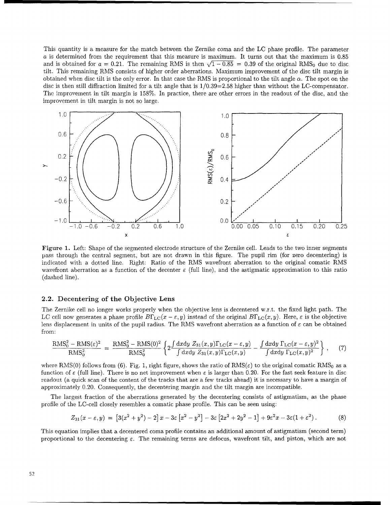This quantity is a measure for the match between the Zernike coma and the LC phase profile. The parameter a is determined from the requirement that this measure is maximum. It turns out that the maximum is 0.85 and is obtained for  $a = 0.21$ . The remaining RMS is then  $\sqrt{1-0.85} = 0.39$  of the original RMS<sub>0</sub> due to disc tilt. This remaining RMS consists of higher order aberrations. Maximum improvement of the disc tilt margin is obtained when disc tilt is the only error. In that case the RMS is proportional to the tilt angle  $\alpha$ . The spot on the disc is then still diffraction limited for a tilt angle that is 1/0.39=2.58 higher than without the LC-compensator. The improvement in tilt margin is 158%. In practice, there are other errors in the readout of the disc, and the improvement in tilt margin is not so large.



Figure **1.** Left: Shape of the segmented electrode structure of the Zernike cell. Leads to the two inner segments pass through the central segment, but are not drawn in this figure. The pupil rim (for zero decentering) is indicated with a dotted line. Right: Ratio of the RMS wavefront aberration to the original comatic RMS wavefront aberration as a function of the decenter  $\varepsilon$  (full line), and the astigmatic approximation to this ratio (dashed line).

#### 2.2. Decentering of the Objective Lens

The Zernike cell no longer works properly when the objective lens is decentered w.r.t. the fixed light path. The LC cell now generates a phase profile  $B\Gamma_{\text{LC}}(x - \varepsilon, y)$  instead of the original  $B\Gamma_{\text{LC}}(x, y)$ . Here,  $\varepsilon$  is the objective lens displacement in units of the pupil radius. The RMS wavefront aberration as a function of  $\varepsilon$  can be obtained from:

$$
\frac{\text{RMS}_0^2 - \text{RMS}(\varepsilon)^2}{\text{RMS}_0^2} = \frac{\text{RMS}_0^2 - \text{RMS}(0)^2}{\text{RMS}_0^2} \left\{ 2 \frac{\int dx dy Z_{31}(x, y) \Gamma_{\text{LC}}(x - \varepsilon, y)}{\int dx dy Z_{31}(x, y) \Gamma_{\text{LC}}(x, y)} - \frac{\int dx dy \Gamma_{\text{LC}}(x - \varepsilon, y)^2}{\int dx dy \Gamma_{\text{LC}}(x, y)^2} \right\},\tag{7}
$$

where RMS(0) follows from (6). Fig. 1, right figure, shows the ratio of  $RMS(\varepsilon)$  to the original comatic RMS<sub>0</sub> as a function of  $\varepsilon$  (full line). There is no net improvement when  $\varepsilon$  is larger than 0.20. For the fast seek feature in disc readout (a quick scan of the content of the tracks that are a few tracks ahead) it is necessary to have a margin of approximately 0.20. Consequently, the decentering margin and the tilt margin are incompatible.

The largest fraction of the aberrations generated by the decentering consists of astigmatism, as the phase profile of the LC-cell closely resembles a comatic phase profile. This can be seen using:

$$
Z_{31}(x-\varepsilon,y) = [3(x^2+y^2)-2]x-3\varepsilon[x^2-y^2]-3\varepsilon[2x^2+2y^2-1]+9\varepsilon^2x-3\varepsilon(1+\varepsilon^2).
$$
 (8)

This equation implies that a decentered coma profile contains an additional amount of astigmatism (second term) proportional to the decentering  $\varepsilon$ . The remaining terms are defocus, wavefront tilt, and piston, which are not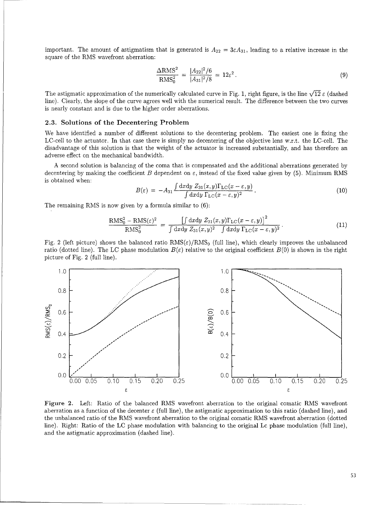important. The amount of astigmatism that is generated is  $A_{22} = 3\varepsilon A_{31}$ , leading to a relative increase in the square of the RMS wavefront aberration:

$$
\frac{\Delta \text{RMS}^2}{\text{RMS}_0^2} = \frac{|A_{22}|^2/6}{|A_{31}|^2/8} = 12\varepsilon^2.
$$
\n(9)

The astigmatic approximation of the numerically calculated curve in Fig. 1, right figure, is the line  $\sqrt{12} \varepsilon$  (dashed line). Clearly, the slope of the curve agrees well with the numerical result. The difference between the two curves is nearly constant and is due to the higher order aberrations.

#### **2.3.** Solutions of the Decentering Problem

We have identified a number of different solutions to the decentering problem. The easiest one is fixing the LC-cell to the actuator. In that case there is simply no decentering of the objective lens w.r.t. the LC-cell. The disadvantage of this solution is that the weight of the actuator is increased substantially, and has therefore an adverse effect on the mechanical bandwidth.

A second solution is balancing of the coma that is compensated and the additional aberrations generated by decentering by making the coefficient B dependent on  $\varepsilon$ , instead of the fixed value given by (5). Minimum RMS is obtained when:

$$
B(\varepsilon) = -A_{31} \frac{\int dx dy Z_{31}(x, y) \Gamma_{\rm LC}(x - \varepsilon, y)}{\int dx dy \Gamma_{\rm LC}(x - \varepsilon, y)^2}.
$$
 (10)

The remaining RMS is now given by a formula similar to (6):

$$
\frac{\text{RMS}_0^2 - \text{RMS}(\varepsilon)^2}{\text{RMS}_0^2} = \frac{\left[\int dx dy Z_{31}(x, y) \Gamma_{\text{LC}}(x - \varepsilon, y)\right]^2}{\int dx dy Z_{31}(x, y)^2 \int dx dy \Gamma_{\text{LC}}(x - \varepsilon, y)^2}.
$$
\n(11)

Fig. 2 (left picture) shows the balanced ratio  $RMS(\epsilon)/RMS_0$  (full line), which clearly improves the unbalanced ratio (dotted line). The LC phase modulation  $B(\varepsilon)$  relative to the original coefficient  $B(0)$  is shown in the right picture of Fig. 2 (full line).



Figure 2. Left: Ratio of the balanced RMS wavefront aberration to the original comatic RMS wavefront aberration as a function of the decenter  $\varepsilon$  (full line), the astigmatic approximation to this ratio (dashed line), and the unbalanced ratio of the RMS wavefront aberration to the original comatic RMS wavefront aberration (dotted line). Right: Ratio of the LC phase modulation with balancing to the original Lc phase modulation (full line), and the astigmatic approximation (dashed line).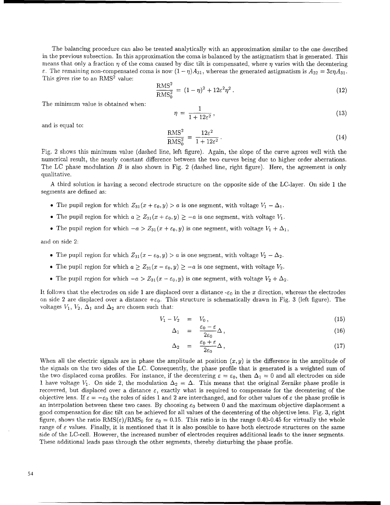The balancing procedure can also be treated analytically with an approximation similar to the one described in the previous subsection. In this approximation the coma is balanced by the astigmatism that is generated. This means that only a fraction  $\eta$  of the coma caused by disc tilt is compensated, where  $\eta$  varies with the decentering  $\epsilon$ . The remaining non-compensated coma is now  $(1 - \eta)A_{31}$ , whereas the generated astigmatism is  $A_{22} = 3\epsilon \eta A_{31}$ . This gives rise to an RMS<sup>2</sup> value:  $\overline{2}$ 

$$
\frac{\text{RMS}^2}{\text{RMS}_0^2} = (1 - \eta)^2 + 12\varepsilon^2 \eta^2. \tag{12}
$$

The minimum value is obtained when:

$$
\eta = \frac{1}{1 + 12\varepsilon^2},\tag{13}
$$

and is equal to:

$$
\frac{\text{RMS}^2}{\text{RMS}_0^2} = \frac{12\varepsilon^2}{1 + 12\varepsilon^2} \,. \tag{14}
$$

Fig. 2 shows this minimum value (dashed line, left figure). Again, the slope of the curve agrees well with the numerical result, the nearly constant difference between the two curves being due to higher order aberrations. The LC phase modulation  $B$  is also shown in Fig. 2 (dashed line, right figure). Here, the agreement is only qualitative.

A third solution is having a second electrode structure on the opposite side of the LC-layer. On side 1 the segments are defined as:

- The pupil region for which  $Z_{31}(x + \varepsilon_0, y) > a$  is one segment, with voltage  $V_1 \Delta_1$ .
- The pupil region for which  $a \geq Z_{31}(x + \varepsilon_0, y) \geq -a$  is one segment, with voltage  $V_1$ .
- The pupil region for which  $-a > Z_{31}(x + \varepsilon_0, y)$  is one segment, with voltage  $V_1 + \Delta_1$ ,

and on side 2:

- The pupil region for which  $Z_{31} (x \epsilon_0, y) > a$  is one segment, with voltage  $V_2 \Delta_2$ .
- The pupil region for which  $a \geq Z_{31}(x \varepsilon_0, y) \geq -a$  is one segment, with voltage  $V_2$ .
- The pupil region for which  $-a > Z_{31}(x \varepsilon_0, y)$  is one segment, with voltage  $V_2 + \Delta_2$ .

It follows that the electrodes on side 1 are displaced over a distance  $-\varepsilon_0$  in the x direction, whereas the electrodes on side 2 are displaced over a distance  $+\varepsilon_0$ . This structure is schematically drawn in Fig. 3 (left figure). The voltages  $V_1$ ,  $V_2$ ,  $\Delta_1$  and  $\Delta_2$  are chosen such that:

$$
V_1 - V_2 = V_0, \t\t(15)
$$

$$
\Delta_1 = \frac{\varepsilon_0 - \varepsilon}{2\varepsilon_0} \Delta \,, \tag{16}
$$

$$
\Delta_2 = \frac{\varepsilon_0 + \varepsilon}{2\varepsilon_0} \Delta \,, \tag{17}
$$

When all the electric signals are in phase the amplitude at position  $(x, y)$  is the difference in the amplitude of the signals on the two sides of the LC. Consequently, the phase profile that is generated is a weighted sum of the two displaced coma profiles. For instance, if the decentering  $\varepsilon = \varepsilon_0$ , then  $\Delta_1 = 0$  and all electrodes on side 1 have voltage  $V_1$ . On side 2, the modulation  $\Delta_2 = \Delta$ . This means that the original Zernike phase profile is recovered, but displaced over a distance  $\varepsilon$ , exactly what is required to compensate for the decentering of the objective lens. If  $\varepsilon = -\varepsilon_0$  the roles of sides 1 and 2 are interchanged, and for other values of  $\varepsilon$  the phase profile is an interpolation between these two cases. By choosing  $\varepsilon_0$  between 0 and the maximum objective displacement a good compensation for disc tilt can be achieved for all values of the decentering of the objective lens. Fig. 3, right figure, shows the ratio RMS( $\varepsilon$ )/RMS<sub>0</sub> for  $\varepsilon_0 = 0.15$ . This ratio is in the range 0.40-0.45 for virtually the whole range of  $\varepsilon$  values. Finally, it is mentioned that it is also possible to have both electrode structures on the same side of the LC-cell. However, the increased number of electrodes requires additional leads to the inner segments. These additional leads pass through the other segments, thereby disturbing the phase profile.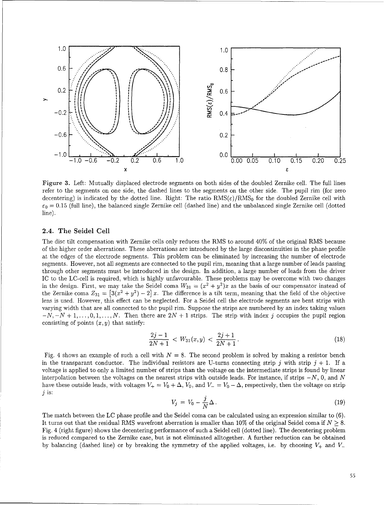

Figure **3.** Left: Mutually displaced electrode segments on both sides of the doubled Zernike cell. The full lines refer to the segments on one side, the dashed lines to the segments on the other side. The pupil rim (for zero decentering) is indicated by the dotted line. Right: The ratio  $RMS(\epsilon)/RMS_0$  for the doubled Zernike cell with  $\varepsilon_0 = 0.15$  (full line), the balanced single Zernike cell (dashed line) and the unbalanced single Zernike cell (dotted line).

#### 2.4. The Seidel Cell

The disc tilt compensation with Zernike cells only reduces the RMS to around 40% of the original RMS because of the higher order aberrations. These aberrations are introduced by the large discontinuities in the phase profile at the edges of the electrode segments. This problem can be eliminated by increasing the number of electrode segments. However, not all segments are connected to the pupil rim, meaning that a large number of leads passing through other segments must be introduced in the design. In addition, a large number of leads from the driver IC to the LC-cell is required, which is highly unfavourable. These problems may be overcome with two changes in the design. First, we may take the Seidel coma  $W_{31} = (x^2 + y^2)x$  as the basis of our compensator instead of the Zernike coma  $Z_{31} = [3(x^2 + y^2) - 2]x$ . The difference is a tilt term, meaning that the field of the objective lens is used. However, this effect can be neglected. For a Seidel cell the electrode segments are bent strips with varying width that are all connected to the pupil rim. Suppose the strips are numbered by an index taking values  $-N, -N+1, \ldots, 0, 1, \ldots, N$ . Then there are  $2N+1$  strips. The strip with index j occupies the pupil region consisting of points  $(x, y)$  that satisfy:

$$
\frac{2j-1}{2N+1} < W_{31}(x,y) < \frac{2j+1}{2N+1} \,. \tag{18}
$$

Fig. 4 shows an example of such a cell with  $N = 8$ . The second problem is solved by making a resistor bench in the transparant conductor. The individual resistors are U-turns connecting strip j with strip  $j + 1$ . If a voltage is applied to only a limited number of strips than the voltage on the intermediate strips is found by linear interpolation between the voltages on the nearest strips with outside leads. For instance, if strips  $-N$ , 0, and N have these outside leads, with voltages  $V_+ = V_0 + \Delta$ ,  $V_0$ , and  $V_- = V_0 - \Delta$ , respectively, then the voltage on strip **j** is:

$$
V_j = V_0 - \frac{j}{N} \Delta \,. \tag{19}
$$

The match between the LC phase profile and the Seidel coma can be calculated using an expression similar to (6). It turns out that the residual RMS wavefront aberration is smaller than 10% of the original Seidel coma if *N >* 8. Fig. 4 (right figure) shows the decentering performance of such a Seidel cell (dotted line). The decentering problem is reduced compared to the Zernike case, but is not eliminated alltogether. A further reduction can be obtained by balancing (dashed line) or by breaking the symmetry of the applied voltages, i.e. by choosing  $V_+$  and  $V_-$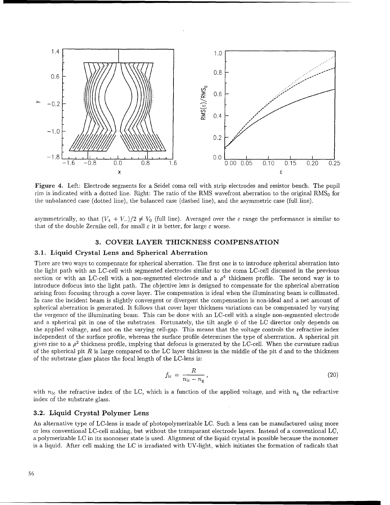

Figure 4. Left: Electrode segments for a Seidel coma cell with strip electrodes and resistor bench. The pupil rim is indicated with a dotted line. Right: The ratio of the RMS wavefront aberration to the original  $RMS_0$  for the unbalanced case (dotted line), the balanced case (dashed line), and the asymmetric case (full line).

asymmetrically, so that  $(V_+ + V_-)/2 \neq V_0$  (full line). Averaged over the  $\varepsilon$  range the performance is similar to that of the double Zernike cell, for small  $\varepsilon$  it is better, for large  $\varepsilon$  worse.

#### **3.** COVER LAYER THICKNESS COMPENSATION

#### **3.1.** Liquid Crystal Lens and Spherical Aberration

There are two ways to compensate for spherical aberration. The first one is to introduce spherical aberration into the light path with an LC-cell with segmented electrodes similar to the coma LC-cell discussed in the previous section or with an LC-cell with a non-segmented electrode and a  $\rho^4$  thickness profile. The second way is to introduce defocus into the light path. The objective lens is designed to compensate for the spherical aberration arising from focusing through a cover layer. The compensation is ideal when the illuminating beam is collimated. In case the incident beam is slightly convergent or divergent the compensation is non-ideal and a net amount of spherical aberration is generated. It follows that cover layer thickness variations can be compensated by varying the vergence of the illuminating beam. This can be done with an LC-cell with a single non-segmented electrode and a spherical pit in one of the substrates. Fortunately, the tilt angle  $\psi$  of the LC director only depends on the applied voltage, and not on the varying cell-gap. This means that the voltage controls the refractive index independent of the surface profile, whereas the surface profile determines the type of aberrration. A spherical pit gives rise to a  $\rho^2$  thickness profile, implying that defocus is generated by the LC-cell. When the curvature radius of the spherical pit R is large compared to the LC layer thickness in the middle of the pit d and to the thickness of the substrate glass plates the focal length of the LC-lens is:

$$
f_{\rm lc} = \frac{R}{n_{\rm lc} - n_{\rm g}}\,,\tag{20}
$$

with  $n_{1c}$  the refractive index of the LC, which is a function of the applied voltage, and with  $n_{g}$  the refractive index of the substrate glass.

#### **3.2.** Liquid Crystal Polymer Lens

An alternative type of LC-lens is made of photopolymerizable LC. Such a lens can be manufactured using more or less conventional LC-cell making, but without the transparant electrode layers. Instead of a conventional **LC,** a polymerizable LC in its monomer state is used. Alignment of the liquid crystal is possible because the monomer is a liquid. After cell making the LC is irradiated with UV-light, which initiates the formation of radicals that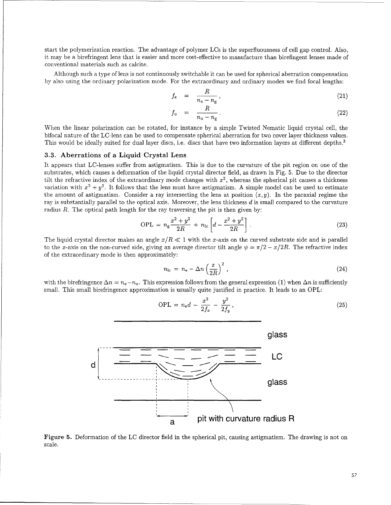start the polymerization reaction. The advantage of polymer LCs is the superfluousness of cell gap control. Also, it may be a birefringent lens that is easier and more cost-effective to manufacture than birefingent lenses made of conventional materials such as calcite.

Although such a type of lens is not continuously switchable it can be used for spherical aberration compensation by also using the ordinary polarization mode. For the extraordinary and ordinary modes we find focal lengths:

$$
f_{\rm e} = \frac{R}{n_{\rm e} - n_{\rm g}},\tag{21}
$$

$$
f_o = \frac{R}{n_o - n_g} \,. \tag{22}
$$

When the linear polarization can be rotated, for instance by a simple Twisted Nematic liquid crystal cell, the bifocal nature of the LC-lens can be used to compensate spherical aberration for two cover layer thickness values. This would be ideally suited for dual layer discs, i.e. discs that have two information layers at different depths.<sup>3</sup>

#### **3.3.** Aberrations of a Liquid Crystal Lens

It appears that LC-lenses suffer from astigmatism. This is due to the curvature of the pit region on one of the substrates, which causes a deformation of the liquid crystal director field, as drawn in Fig. 5. Due to the director tilt the refractive index of the extraordinary mode changes with  $x^2$ , whereas the spherical pit causes a thickness variation with  $x^2 + y^2$ . It follows that the lens must have astigmatism. A simple model can be used to estimate the amount of astigmatism. Consider a ray intersecting the lens at position  $(x, y)$ . In the paraxial regime the ray is substantially parallel to the optical axis. Moreover, the lens thickness d is small compared to the curvature radius  $R$ . The optical path length for the ray traversing the pit is then given by:

$$
OPL = n_{\rm g} \frac{x^2 + y^2}{2R} + n_{\rm lc} \left[ d - \frac{x^2 + y^2}{2R} \right]. \tag{23}
$$

The liquid crystal director makes an angle  $x/R \ll 1$  with the x-axis on the curved substrate side and is parallel to the x-axis on the non-curved side, giving an average director tilt angle  $\psi = \pi/2 - x/2R$ . The refractive index of the extraordinary mode is then approximately:

$$
n_{\rm lc} = n_{\rm e} - \Delta n \left(\frac{x}{2R}\right)^2 \,, \tag{24}
$$

 $OPL = n_e d - \frac{x}{2f_x} - \frac{y}{2f_y},$ (25)

with the birefringence  $\Delta n = n_e - n_o$ . This expression follows from the general expression (1) when  $\Delta n$  is sufficiently small. This small birefringence approximation is usually quite justified in practice. It leads to an OPL:



 $x^2$   $y^2$ 

scale.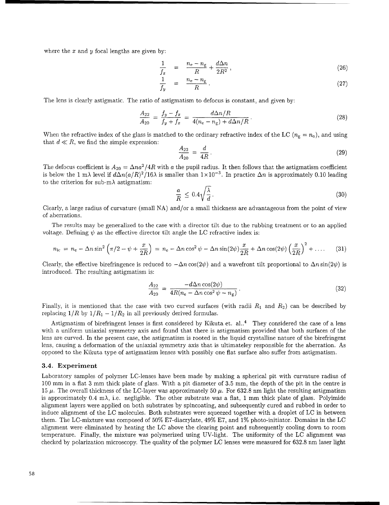where the  $x$  and  $y$  focal lengths are given by:

$$
\frac{1}{f_x} = \frac{n_e - n_g}{R} + \frac{d\Delta n}{2R^2},\tag{26}
$$

$$
\frac{1}{f_y} = \frac{n_e - n_g}{R} \,. \tag{27}
$$

The lens is clearly astigmatic. The ratio of astigmatism to defocus is constant, and given by:

$$
\frac{A_{22}}{A_{20}} = \frac{f_y - f_x}{f_y + f_x} = \frac{d\Delta n/R}{4(n_e - n_g) + d\Delta n/R}.
$$
\n(28)

When the refractive index of the glass is matched to the ordinary refractive index of the LC ( $n_{\rm g} = n_{\rm o}$ ), and using that  $d \ll R$ , we find the simple expression:

$$
\frac{A_{22}}{A_{20}} = \frac{d}{4R}.
$$
\n(29)

The defocus coefficient is  $A_{20} = \Delta n a^2 / 4R$  with a the pupil radius. It then follows that the astigmatism coefficient is below the 1 m $\lambda$  level if  $d\Delta n(a/R)^2/16\lambda$  is smaller than  $1\times10^{-3}$ . In practice  $\Delta n$  is approximately 0.10 leading to the criterion for sub-m $\lambda$  astigmatism:

$$
\frac{a}{R} \le 0.4 \sqrt{\frac{\lambda}{d}} \,. \tag{30}
$$

Clearly, a large radius of curvature (small NA) and/or a small thickness are advantageous from the point of view of aberrations.

The results may be generalized to the case with a director tilt due to the rubbing treatment or to an applied voltage. Defining  $\psi$  as the effective director tilt angle the LC refractive index is:

$$
n_{\rm lc} = n_{\rm e} - \Delta n \sin^2\left(\pi/2 - \psi + \frac{x}{2R}\right) = n_{\rm e} - \Delta n \cos^2\psi - \Delta n \sin(2\psi) \frac{x}{2R} + \Delta n \cos(2\psi) \left(\frac{x}{2R}\right)^2 + \dots \tag{31}
$$

Clearly, the effective birefringence is reduced to  $-\Delta n \cos(2\psi)$  and a wavefront tilt proportional to  $\Delta n \sin(2\psi)$  is introduced. The resulting astigmatism is:

$$
\frac{A_{22}}{A_{20}} = \frac{-d\Delta n \cos(2\psi)}{4R(n_{\rm e} - \Delta n \cos^2 \psi - n_{\rm g})}.
$$
\n(32)

Finally, it is mentioned that the case with two curved surfaces (with radii  $R_1$  and  $R_2$ ) can be described by replacing  $1/R$  by  $1/R_1 - 1/R_2$  in all previously derived formulas.

Astigmatism of birefringent lenses is first considered by Kikuta et.  $al.^4$  They considered the case of a lens with a uniform uniaxial symmetry axis and found that there is astigmatism provided that both surfaces of the lens are curved. In the present case, the astigmatism is rooted in the liquid crystalline nature of the birefringent lens, causing a deformation of the uniaxial symmetry axis that is ultimateley responsible for the aberration. As opposed to the Kikuta type of astigmatism lenses with possibly one flat surface also suffer from astigmatism.

#### 3.4. Experiment

Laboratory samples of polymer LC-lenses have been made by making a spherical pit with curvature radius of 100 mm in a flat 3 mm thick plate of glass. With a pit diameter of 3.5 mm, the depth of the pit in the centre is 15  $\mu$ . The overall thickness of the LC-layer was approximately 50  $\mu$ . For 632.8 nm light the resulting astigmatism is approximately 0.4 m $\lambda$ , i.e. negligible. The other substrate was a flat, 1 mm thick plate of glass. Polyimide alignment layers were applied on both substrates by spincoating, and subsequently cured and rubbed in order to induce alignment of the LC molecules. Both substrates were squeezed together with a droplet of LC in between them. The LC-mixture was composed of 50% E7-diacrylate, 49% E7, and 1% photo-initiator. Domains in the LC alignment were eliminated by heating the LC above the clearing point and subsequently cooling down to room temperature. Finally, the mixture was polymerized using UV-light. The uniformity of the **LC** alignment was checked by polarization microscopy. The quality of the polymer LC lenses were measured for 632.8 nm laser light